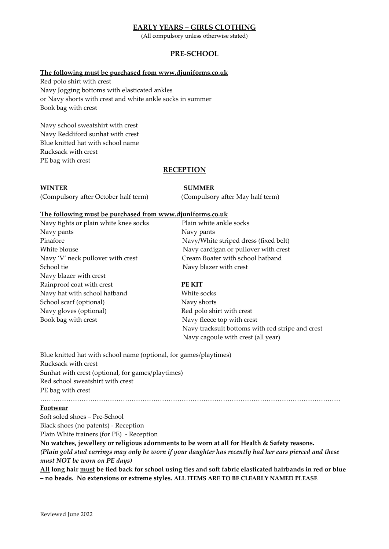# **EARLY YEARS – GIRLS CLOTHING**

(All compulsory unless otherwise stated)

# **PRE-SCHOOL**

## **The following must be purchased from [www.djuniforms.co.uk](http://www.djuniforms.co.uk/)**

Red polo shirt with crest Navy Jogging bottoms with elasticated ankles or Navy shorts with crest and white ankle socks in summer Book bag with crest

Navy school sweatshirt with crest Navy Reddiford sunhat with crest Blue knitted hat with school name Rucksack with crest PE bag with crest

## **RECEPTION**

## **WINTER SUMMER**

(Compulsory after October half term) (Compulsory after May half term)

### **The following must be purchased from [www.djuniforms.co.uk](http://www.djuniforms.co.uk/)**

Navy tights or plain white knee socks Plain white ankle socks Navy pants Navy pants Navy 'V' neck pullover with crest Cream Boater with school hatband School tie Navy blazer with crest Navy blazer with crest Rainproof coat with crest **PE KIT** Navy hat with school hatband White socks School scarf (optional) Navy shorts Navy gloves (optional) Red polo shirt with crest Book bag with crest Navy fleece top with crest

Pinafore Navy/White striped dress (fixed belt) White blouse Navy cardigan or pullover with crest

 Navy tracksuit bottoms with red stripe and crest Navy cagoule with crest (all year)

Blue knitted hat with school name (optional, for games/playtimes) Rucksack with crest Sunhat with crest (optional, for games/playtimes) Red school sweatshirt with crest PE bag with crest

# **Footwear**

Soft soled shoes – Pre-School Black shoes (no patents) - Reception

Plain White trainers (for PE) - Reception

**No watches, jewellery or religious adornments to be worn at all for Health & Safety reasons.** *(Plain gold stud earrings may only be worn if your daughter has recently had her ears pierced and these must NOT be worn on PE days)*

…………………………………………………………………………………………………………………………

**All long hair must be tied back for school using ties and soft fabric elasticated hairbands in red or blue – no beads. No extensions or extreme styles. ALL ITEMS ARE TO BE CLEARLY NAMED PLEASE**